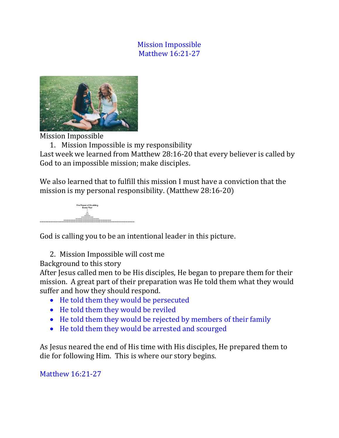## Mission Impossible Matthew 16:21-27



Mission Impossible

1. Mission Impossible is my responsibility Last week we learned from Matthew 28:16-20 that every believer is called by God to an impossible mission; make disciples.

We also learned that to fulfill this mission I must have a conviction that the mission is my personal responsibility. (Matthew 28:16-20)



God is calling you to be an intentional leader in this picture.

2. Mission Impossible will cost me

Background to this story

After Jesus called men to be His disciples, He began to prepare them for their mission. A great part of their preparation was He told them what they would suffer and how they should respond.

- He told them they would be persecuted
- He told them they would be reviled
- He told them they would be rejected by members of their family
- He told them they would be arrested and scourged

As Jesus neared the end of His time with His disciples, He prepared them to die for following Him. This is where our story begins.

Matthew 16:21-27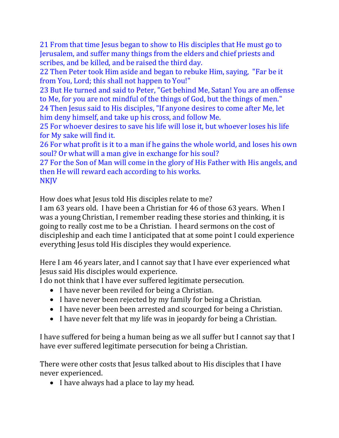21 From that time Jesus began to show to His disciples that He must go to Jerusalem, and suffer many things from the elders and chief priests and scribes, and be killed, and be raised the third day.

22 Then Peter took Him aside and began to rebuke Him, saying, "Far be it from You, Lord; this shall not happen to You!"

23 But He turned and said to Peter, "Get behind Me, Satan! You are an offense to Me, for you are not mindful of the things of God, but the things of men."

24 Then Jesus said to His disciples, "If anyone desires to come after Me, let him deny himself, and take up his cross, and follow Me.

25 For whoever desires to save his life will lose it, but whoever loses his life for My sake will find it.

26 For what profit is it to a man if he gains the whole world, and loses his own soul? Or what will a man give in exchange for his soul?

27 For the Son of Man will come in the glory of His Father with His angels, and then He will reward each according to his works. **NKJV** 

How does what Jesus told His disciples relate to me?

I am 63 years old. I have been a Christian for 46 of those 63 years. When I was a young Christian, I remember reading these stories and thinking, it is going to really cost me to be a Christian. I heard sermons on the cost of discipleship and each time I anticipated that at some point I could experience everything Jesus told His disciples they would experience.

Here I am 46 years later, and I cannot say that I have ever experienced what Jesus said His disciples would experience.

I do not think that I have ever suffered legitimate persecution.

- I have never been reviled for being a Christian.
- I have never been rejected by my family for being a Christian.
- I have never been been arrested and scourged for being a Christian.
- I have never felt that my life was in jeopardy for being a Christian.

I have suffered for being a human being as we all suffer but I cannot say that I have ever suffered legitimate persecution for being a Christian.

There were other costs that Jesus talked about to His disciples that I have never experienced.

• I have always had a place to lay my head.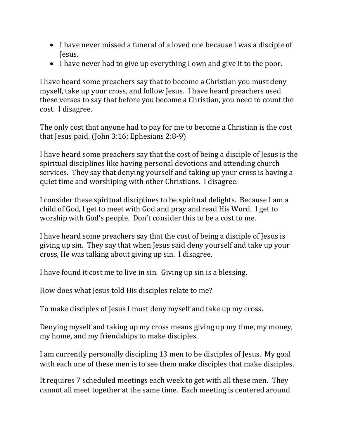- I have never missed a funeral of a loved one because I was a disciple of Jesus.
- I have never had to give up everything I own and give it to the poor.

I have heard some preachers say that to become a Christian you must deny myself, take up your cross, and follow Jesus. I have heard preachers used these verses to say that before you become a Christian, you need to count the cost. I disagree.

The only cost that anyone had to pay for me to become a Christian is the cost that Jesus paid. (John 3:16; Ephesians 2:8-9)

I have heard some preachers say that the cost of being a disciple of Jesus is the spiritual disciplines like having personal devotions and attending church services. They say that denying yourself and taking up your cross is having a quiet time and worshiping with other Christians. I disagree.

I consider these spiritual disciplines to be spiritual delights. Because I am a child of God, I get to meet with God and pray and read His Word. I get to worship with God's people. Don't consider this to be a cost to me.

I have heard some preachers say that the cost of being a disciple of Jesus is giving up sin. They say that when Jesus said deny yourself and take up your cross, He was talking about giving up sin. I disagree.

I have found it cost me to live in sin. Giving up sin is a blessing.

How does what Jesus told His disciples relate to me?

To make disciples of Jesus I must deny myself and take up my cross.

Denying myself and taking up my cross means giving up my time, my money, my home, and my friendships to make disciples.

I am currently personally discipling 13 men to be disciples of Jesus. My goal with each one of these men is to see them make disciples that make disciples.

It requires 7 scheduled meetings each week to get with all these men. They cannot all meet together at the same time. Each meeting is centered around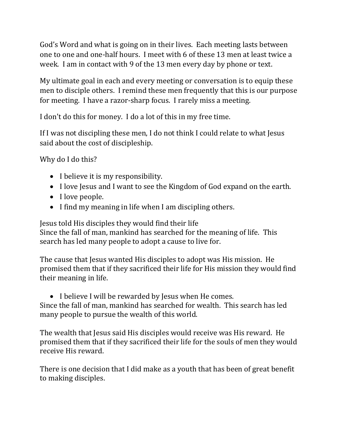God's Word and what is going on in their lives. Each meeting lasts between one to one and one-half hours. I meet with 6 of these 13 men at least twice a week. I am in contact with 9 of the 13 men every day by phone or text.

My ultimate goal in each and every meeting or conversation is to equip these men to disciple others. I remind these men frequently that this is our purpose for meeting. I have a razor-sharp focus. I rarely miss a meeting.

I don't do this for money. I do a lot of this in my free time.

If I was not discipling these men, I do not think I could relate to what Jesus said about the cost of discipleship.

Why do I do this?

- I believe it is my responsibility.
- I love Jesus and I want to see the Kingdom of God expand on the earth.
- I love people.
- I find my meaning in life when I am discipling others.

Jesus told His disciples they would find their life Since the fall of man, mankind has searched for the meaning of life. This search has led many people to adopt a cause to live for.

The cause that Jesus wanted His disciples to adopt was His mission. He promised them that if they sacrificed their life for His mission they would find their meaning in life.

• I believe I will be rewarded by Jesus when He comes. Since the fall of man, mankind has searched for wealth. This search has led many people to pursue the wealth of this world.

The wealth that Jesus said His disciples would receive was His reward. He promised them that if they sacrificed their life for the souls of men they would receive His reward.

There is one decision that I did make as a youth that has been of great benefit to making disciples.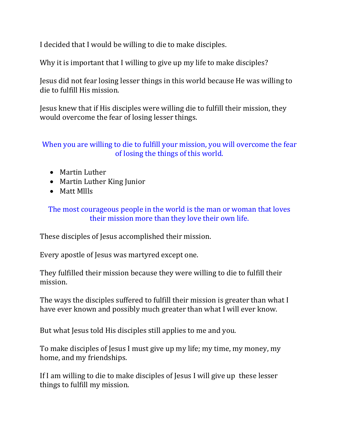I decided that I would be willing to die to make disciples.

Why it is important that I willing to give up my life to make disciples?

Jesus did not fear losing lesser things in this world because He was willing to die to fulfill His mission.

Jesus knew that if His disciples were willing die to fulfill their mission, they would overcome the fear of losing lesser things.

## When you are willing to die to fulfill your mission, you will overcome the fear of losing the things of this world.

- Martin Luther
- Martin Luther King Junior
- Matt Mllls

The most courageous people in the world is the man or woman that loves their mission more than they love their own life.

These disciples of Jesus accomplished their mission.

Every apostle of Jesus was martyred except one.

They fulfilled their mission because they were willing to die to fulfill their mission.

The ways the disciples suffered to fulfill their mission is greater than what I have ever known and possibly much greater than what I will ever know.

But what Jesus told His disciples still applies to me and you.

To make disciples of Jesus I must give up my life; my time, my money, my home, and my friendships.

If I am willing to die to make disciples of Jesus I will give up these lesser things to fulfill my mission.